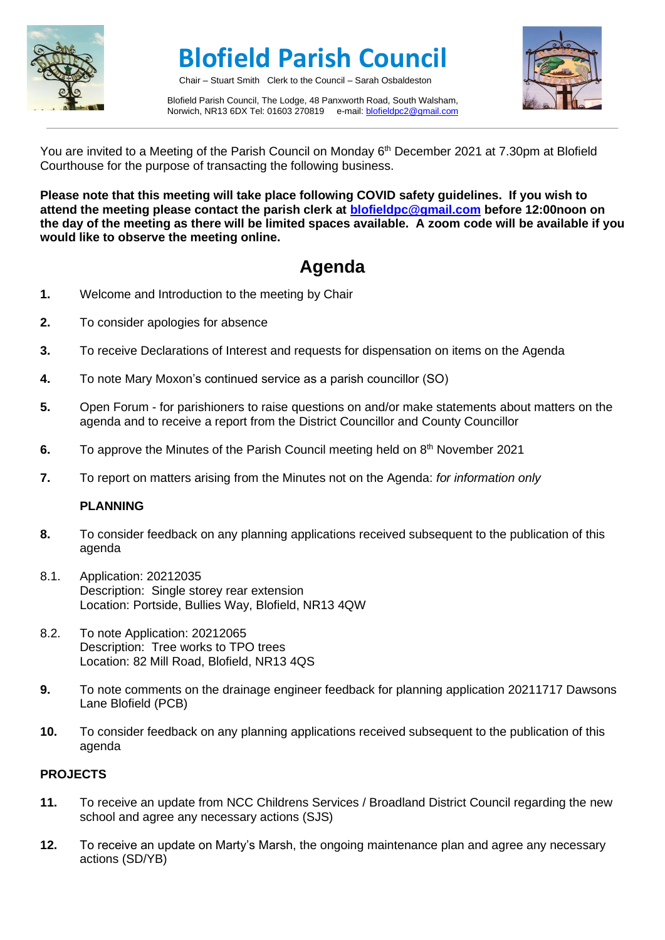

# **Blofield Parish Council**

Chair – Stuart Smith Clerk to the Council – Sarah Osbaldeston

Blofield Parish Council, The Lodge, 48 Panxworth Road, South Walsham, Norwich, NR13 6DX Tel: 01603 270819 e-mail[: blofieldpc2@gmail.com](mailto:blofieldpc2@gmail.com)



You are invited to a Meeting of the Parish Council on Monday 6<sup>th</sup> December 2021 at 7.30pm at Blofield Courthouse for the purpose of transacting the following business.

**Please note that this meeting will take place following COVID safety guidelines. If you wish to attend the meeting please contact the parish clerk at [blofieldpc@gmail.com](mailto:blofieldpc@gmail.com) before 12:00noon on the day of the meeting as there will be limited spaces available. A zoom code will be available if you would like to observe the meeting online.** 

## **Agenda**

- **1.** Welcome and Introduction to the meeting by Chair
- **2.** To consider apologies for absence
- **3.** To receive Declarations of Interest and requests for dispensation on items on the Agenda
- **4.** To note Mary Moxon's continued service as a parish councillor (SO)
- **5.** Open Forum for parishioners to raise questions on and/or make statements about matters on the agenda and to receive a report from the District Councillor and County Councillor
- **6.** To approve the Minutes of the Parish Council meeting held on 8<sup>th</sup> November 2021
- **7.** To report on matters arising from the Minutes not on the Agenda: *for information only*

#### **PLANNING**

- **8.** To consider feedback on any planning applications received subsequent to the publication of this agenda
- 8.1. Application: 20212035 Description: Single storey rear extension Location: Portside, Bullies Way, Blofield, NR13 4QW
- 8.2. To note Application: 20212065 Description: Tree works to TPO trees Location: 82 Mill Road, Blofield, NR13 4QS
- **9.** To note comments on the drainage engineer feedback for planning application 20211717 Dawsons Lane Blofield (PCB)
- **10.** To consider feedback on any planning applications received subsequent to the publication of this agenda

#### **PROJECTS**

- **11.** To receive an update from NCC Childrens Services / Broadland District Council regarding the new school and agree any necessary actions (SJS)
- **12.** To receive an update on Marty's Marsh, the ongoing maintenance plan and agree any necessary actions (SD/YB)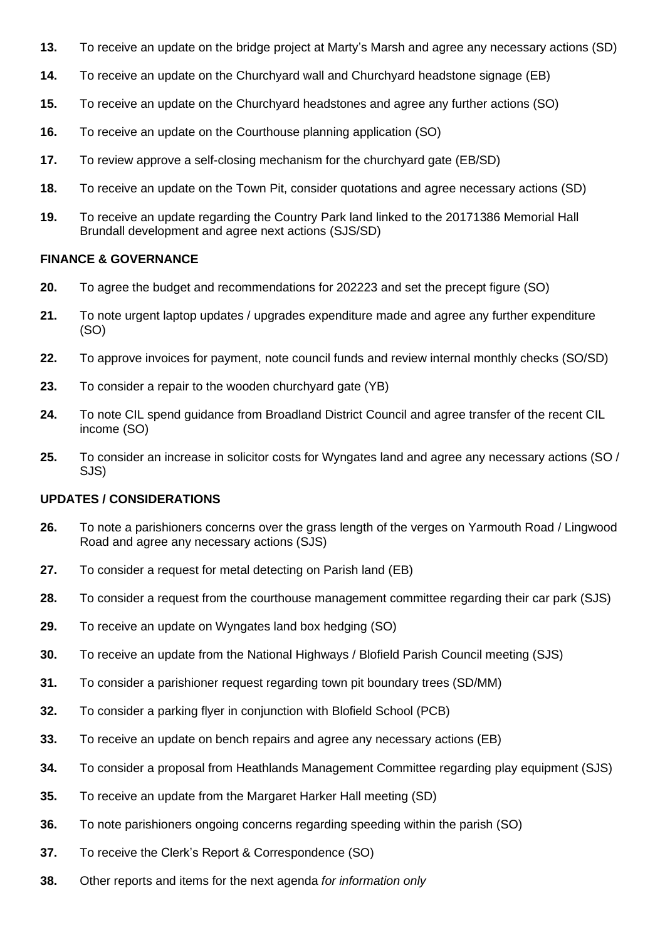- **13.** To receive an update on the bridge project at Marty's Marsh and agree any necessary actions (SD)
- **14.** To receive an update on the Churchyard wall and Churchyard headstone signage (EB)
- **15.** To receive an update on the Churchyard headstones and agree any further actions (SO)
- **16.** To receive an update on the Courthouse planning application (SO)
- **17.** To review approve a self-closing mechanism for the churchyard gate (EB/SD)
- **18.** To receive an update on the Town Pit, consider quotations and agree necessary actions (SD)
- **19.** To receive an update regarding the Country Park land linked to the 20171386 Memorial Hall Brundall development and agree next actions (SJS/SD)

#### **FINANCE & GOVERNANCE**

- **20.** To agree the budget and recommendations for 202223 and set the precept figure (SO)
- **21.** To note urgent laptop updates / upgrades expenditure made and agree any further expenditure (SO)
- **22.** To approve invoices for payment, note council funds and review internal monthly checks (SO/SD)
- **23.** To consider a repair to the wooden churchyard gate (YB)
- **24.** To note CIL spend guidance from Broadland District Council and agree transfer of the recent CIL income (SO)
- **25.** To consider an increase in solicitor costs for Wyngates land and agree any necessary actions (SO / SJS)

### **UPDATES / CONSIDERATIONS**

- **26.** To note a parishioners concerns over the grass length of the verges on Yarmouth Road / Lingwood Road and agree any necessary actions (SJS)
- **27.** To consider a request for metal detecting on Parish land (EB)
- **28.** To consider a request from the courthouse management committee regarding their car park (SJS)
- **29.** To receive an update on Wyngates land box hedging (SO)
- **30.** To receive an update from the National Highways / Blofield Parish Council meeting (SJS)
- **31.** To consider a parishioner request regarding town pit boundary trees (SD/MM)
- **32.** To consider a parking flyer in conjunction with Blofield School (PCB)
- **33.** To receive an update on bench repairs and agree any necessary actions (EB)
- **34.** To consider a proposal from Heathlands Management Committee regarding play equipment (SJS)
- **35.** To receive an update from the Margaret Harker Hall meeting (SD)
- **36.** To note parishioners ongoing concerns regarding speeding within the parish (SO)
- **37.** To receive the Clerk's Report & Correspondence (SO)
- **38.** Other reports and items for the next agenda *for information only*